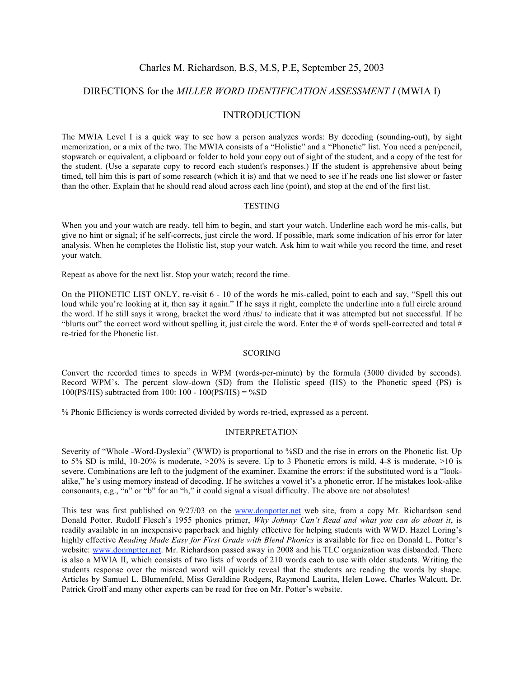## Charles M. Richardson, B.S, M.S, P.E, September 25, 2003

# DIRECTIONS for the *MILLER WORD IDENTIFICATION ASSESSMENT I* (MWIA I)

### INTRODUCTION

The MWIA Level I is a quick way to see how a person analyzes words: By decoding (sounding-out), by sight memorization, or a mix of the two. The MWIA consists of a "Holistic" and a "Phonetic" list. You need a pen/pencil, stopwatch or equivalent, a clipboard or folder to hold your copy out of sight of the student, and a copy of the test for the student. (Use a separate copy to record each student's responses.) If the student is apprehensive about being timed, tell him this is part of some research (which it is) and that we need to see if he reads one list slower or faster than the other. Explain that he should read aloud across each line (point), and stop at the end of the first list.

#### **TESTING**

When you and your watch are ready, tell him to begin, and start your watch. Underline each word he mis-calls, but give no hint or signal; if he self-corrects, just circle the word. If possible, mark some indication of his error for later analysis. When he completes the Holistic list, stop your watch. Ask him to wait while you record the time, and reset your watch.

Repeat as above for the next list. Stop your watch; record the time.

On the PHONETIC LIST ONLY, re-visit 6 - 10 of the words he mis-called, point to each and say, "Spell this out loud while you're looking at it, then say it again." If he says it right, complete the underline into a full circle around the word. If he still says it wrong, bracket the word /thus/ to indicate that it was attempted but not successful. If he "blurts out" the correct word without spelling it, just circle the word. Enter the # of words spell-corrected and total  $#$ re-tried for the Phonetic list.

#### **SCORING**

Convert the recorded times to speeds in WPM (words-per-minute) by the formula (3000 divided by seconds). Record WPM's. The percent slow-down (SD) from the Holistic speed (HS) to the Phonetic speed (PS) is  $100(PS/HS)$  subtracted from 100: 100 - 100(PS/HS) = %SD

% Phonic Efficiency is words corrected divided by words re-tried, expressed as a percent.

#### INTERPRETATION

Severity of "Whole -Word-Dyslexia" (WWD) is proportional to %SD and the rise in errors on the Phonetic list. Up to 5% SD is mild, 10-20% is moderate, >20% is severe. Up to 3 Phonetic errors is mild, 4-8 is moderate, >10 is severe. Combinations are left to the judgment of the examiner. Examine the errors: if the substituted word is a "lookalike," he's using memory instead of decoding. If he switches a vowel it's a phonetic error. If he mistakes look-alike consonants, e.g., "n" or "b" for an "h," it could signal a visual difficulty. The above are not absolutes!

This test was first published on 9/27/03 on the www.donpotter.net web site, from a copy Mr. Richardson send Donald Potter. Rudolf Flesch's 1955 phonics primer, *Why Johnny Can't Read and what you can do about it*, is readily available in an inexpensive paperback and highly effective for helping students with WWD. Hazel Loring's highly effective *Reading Made Easy for First Grade with Blend Phonics* is available for free on Donald L. Potter's website: www.donmptter.net. Mr. Richardson passed away in 2008 and his TLC organization was disbanded. There is also a MWIA II, which consists of two lists of words of 210 words each to use with older students. Writing the students response over the misread word will quickly reveal that the students are reading the words by shape. Articles by Samuel L. Blumenfeld, Miss Geraldine Rodgers, Raymond Laurita, Helen Lowe, Charles Walcutt, Dr. Patrick Groff and many other experts can be read for free on Mr. Potter's website.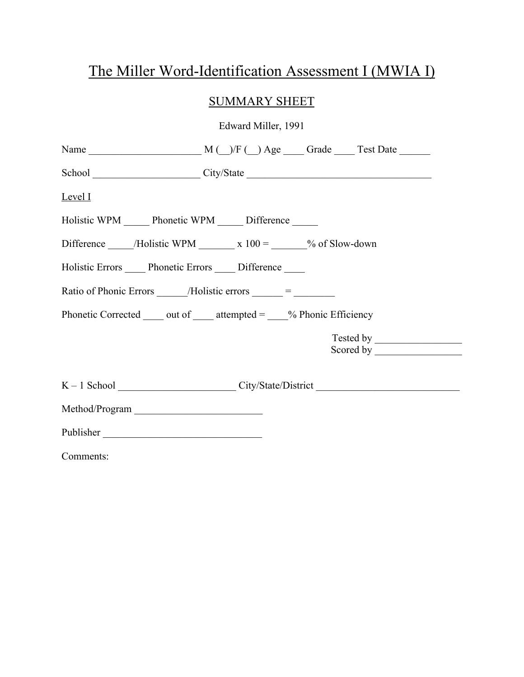# The Miller Word-Identification Assessment I (MWIA I)

# SUMMARY SHEET

Edward Miller, 1991

| School City/State Communication City/State                                     |  |
|--------------------------------------------------------------------------------|--|
| Level I                                                                        |  |
| Holistic WPM Phonetic WPM Difference                                           |  |
| Difference _______/Holistic WPM ____________________________% of Slow-down     |  |
| Holistic Errors Phonetic Errors Difference                                     |  |
| Ratio of Phonic Errors $\_\_\_\$ /Holistic errors $\_\_\_\_\_\_\_\$ =          |  |
| Phonetic Corrected $\_\_$ out of $\_\_$ attempted = $\_\_$ % Phonic Efficiency |  |
|                                                                                |  |
|                                                                                |  |
| Method/Program                                                                 |  |
| Publisher                                                                      |  |
| Comments:                                                                      |  |